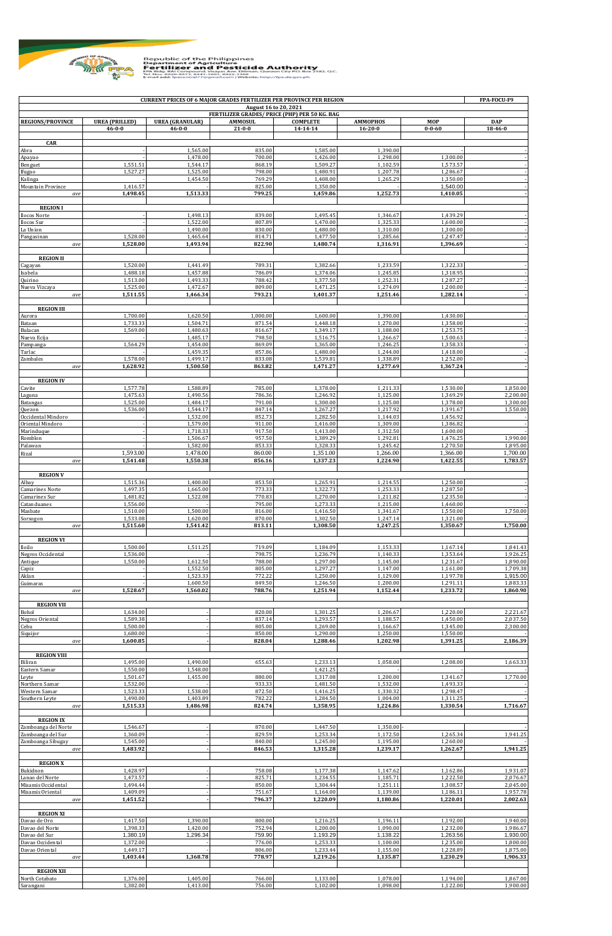

Republic of the Philippines<br> **Example 2008**<br>
PETTITEET FOR THE CONSULTING THE CONTRACT AND THE CONSULTING TO THE CONSULTING TO THE CONSULTING TO THE CONSULTING TO THE CONSULTING TO THE CONSULTING TO THE CONSULTING TO THE C

| <b>CURRENT PRICES OF 6 MAJOR GRADES FERTILIZER PER PROVINCE PER REGION</b><br>August 16 to 20, 2021 |                                       |                                        |                                |                                               |                                  |                      |                       |  |
|-----------------------------------------------------------------------------------------------------|---------------------------------------|----------------------------------------|--------------------------------|-----------------------------------------------|----------------------------------|----------------------|-----------------------|--|
|                                                                                                     |                                       |                                        |                                | FERTILIZER GRADES/ PRICE (PHP) PER 50 KG. BAG |                                  |                      |                       |  |
| <b>REGIONS/PROVINCE</b>                                                                             | <b>UREA</b> (PRILLED)<br>$46 - 0 - 0$ | <b>UREA</b> (GRANULAR)<br>$46 - 0 - 0$ | <b>AMMOSUL</b><br>$21 - 0 - 0$ | <b>COMPLETE</b><br>14-14-14                   | <b>AMMOPHOS</b><br>$16 - 20 - 0$ | MOP<br>$0 - 0 - 60$  | <b>DAP</b><br>18-46-0 |  |
|                                                                                                     |                                       |                                        |                                |                                               |                                  |                      |                       |  |
| CAR<br>Abra                                                                                         |                                       | 1.565.00                               | 835.00                         | 1,585.00                                      | 1.390.00                         |                      |                       |  |
| Apayao                                                                                              |                                       | 1,478.00                               | 700.00                         | 1.426.00                                      | 1,298.00                         | 1.300.00             |                       |  |
| Benguet<br>Ifugao                                                                                   | 1,551.51<br>1,527.27                  | 1,544.17<br>1,525.00                   | 868.19<br>798.00               | 1,509.27<br>1,480.91                          | 1,102.59<br>1,207.78             | 1,573.57<br>1,286.67 |                       |  |
| Kalinga                                                                                             |                                       | 1,454.50                               | 769.29                         | 1,408.00                                      | 1,265.29                         | 1,350.00             |                       |  |
| Mountain Province<br>ave                                                                            | 1,416.57<br>1,498.45                  | 1.513.33                               | 825.00<br>799.25               | 1,350.00<br>1.459.86                          | 1.252.73                         | 1,540.00<br>1,410.05 |                       |  |
|                                                                                                     |                                       |                                        |                                |                                               |                                  |                      |                       |  |
| <b>REGION I</b>                                                                                     |                                       | 1,498.13                               | 839.00                         | 1,495.45                                      |                                  | 1,439.29             |                       |  |
| Ilocos Norte<br>Ilocos Sur                                                                          |                                       | 1,522.00                               | 807.89                         | 1,470.00                                      | 1,346.67<br>1,325.33             | 1,600.00             |                       |  |
| La Union                                                                                            |                                       | 1,490.00                               | 830.00                         | 1.480.00                                      | 1,310.00                         | 1,300.00             |                       |  |
| Pangasinan<br>ave                                                                                   | 1,528.00<br>1,528.00                  | 1,465.64<br>1,493.94                   | 814.71<br>822.90               | 1,477.50<br>1,480.74                          | 1,285.66<br>1,316.91             | 1,247.47<br>1,396.69 |                       |  |
|                                                                                                     |                                       |                                        |                                |                                               |                                  |                      |                       |  |
| <b>REGION II</b><br>Cagayan                                                                         | 1,520.00                              | 1,441.49                               | 789.31                         | 1,382.66                                      | 1,233.59                         | 1,322.33             |                       |  |
| Isabela                                                                                             | 1,488.18                              | 1,457.88                               | 786.09                         | 1,374.06                                      | 1,245.85                         | 1,318.95             |                       |  |
| Quirino<br>Nueva Vizcaya                                                                            | 1,513.00<br>1,525.00                  | 1,493.33<br>1,472.67                   | 788.42<br>809.00               | 1,377.50<br>1,471.25                          | 1,252.31<br>1,274.09             | 1,287.27<br>1,200.00 |                       |  |
| ave                                                                                                 | 1,511.55                              | 1,466.34                               | 793.21                         | 1,401.37                                      | 1,251.46                         | 1,282.14             |                       |  |
| <b>REGION III</b>                                                                                   |                                       |                                        |                                |                                               |                                  |                      |                       |  |
| Aurora                                                                                              | 1,700.00                              | 1,620.50                               | 1,000.00                       | 1,600.00                                      | 1,390.00                         | 1,430.00             |                       |  |
| Bataan                                                                                              | 1,733.33                              | 1,504.71                               | 871.54                         | 1,448.18                                      | 1,270.00                         | 1,358.00             |                       |  |
| Bulacan<br>Nueva Ecija                                                                              | 1,569.00                              | 1,480.63<br>1,485.17                   | 816.67<br>798.50               | 1,349.17<br>1,516.75                          | 1,188.00<br>1,266.67             | 1,253.75<br>1,500.63 |                       |  |
| Pampanga                                                                                            | 1,564.29                              | 1,454.00                               | 869.09                         | 1,365.00                                      | 1,246.25                         | 1,358.33             |                       |  |
| Tarlac<br>Zambales                                                                                  | 1,578.00                              | 1,459.35<br>1,499.17                   | 857.86<br>833.08               | 1,480.00<br>1,539.81                          | 1,244.00<br>1,338.89             | 1,418.00<br>1,252.00 |                       |  |
| ave                                                                                                 | 1,628.92                              | 1,500.50                               | 863.82                         | 1,471.27                                      | 1,277.69                         | 1,367.24             |                       |  |
| <b>REGION IV</b>                                                                                    |                                       |                                        |                                |                                               |                                  |                      |                       |  |
| Cavite                                                                                              | 1,577.78                              | 1,588.89                               | 785.00                         | 1,378.00                                      | 1,211.33                         | 1,530.00             | 1,850.00              |  |
| Laguna                                                                                              | 1,475.63                              | 1,490.56                               | 786.36                         | 1,246.92                                      | 1,125.00                         | 1,369.29             | 2,200.00              |  |
| Batangas<br>Quezon                                                                                  | 1,525.00<br>1,536.00                  | 1,484.17<br>1,544.17                   | 791.00<br>847.14               | 1,300.00<br>1,267.27                          | 1,125.00<br>1,217.92             | 1,378.00<br>1,391.67 | 1,300.00<br>1,550.00  |  |
| Occidental Mindoro                                                                                  |                                       | 1,532.00                               | 852.73                         | 1,282.50                                      | 1,144.03                         | 1,456.92             |                       |  |
| Oriental Mindoro<br>Marinduque                                                                      |                                       | 1,579.00<br>1,718.33                   | 911.00<br>917.50               | 1,416.00<br>1,413.00                          | 1,309.00<br>1,312.50             | 1,386.82<br>1,600.00 |                       |  |
| Romblon                                                                                             |                                       | 1,506.67                               | 957.50                         | 1,389.29                                      | 1,292.81                         | 1,476.25             | 1,990.00              |  |
| Palawan<br>Rizal                                                                                    | 1,593.00                              | 1,582.00<br>1,478.00                   | 853.33<br>860.00               | 1,328.33<br>1,351.00                          | 1,245.42<br>1,266.00             | 1,270.50<br>1,366.00 | 1,895.00<br>1,700.00  |  |
| ave                                                                                                 | 1,541.48                              | 1,550.38                               | 856.16                         | 1,337.23                                      | 1,224.90                         | 1,422.55             | 1,783.57              |  |
|                                                                                                     |                                       |                                        |                                |                                               |                                  |                      |                       |  |
| <b>REGION V</b><br>Albay                                                                            | 1,515.36                              | 1,400.00                               | 853.50                         | 1,265.91                                      | 1,214.55                         | 1,250.00             |                       |  |
| <b>Camarines Norte</b>                                                                              | 1,497.35                              | 1,665.00                               | 773.33                         | 1,322.73                                      | 1,253.33                         | 1,287.50             |                       |  |
| Camarines Sur<br>Catanduanes                                                                        | 1,481.82<br>1,556.00                  | 1,522.08                               | 770.83<br>795.00               | 1,270.00<br>1,273.33                          | 1,211.82<br>1.215.00             | 1,235.50<br>1,460.00 |                       |  |
| Masbate                                                                                             | 1,510.00                              | 1,500.00                               | 816.00                         | 1,416.50                                      | 1,341.67                         | 1,550.00             | 1.750.00              |  |
| Sorsogon<br>ave                                                                                     | 1,533.08<br>1,515.60                  | 1,620.00<br>1,541.42                   | 870.00<br>813.11               | 1,302.50<br>1,308.50                          | 1,247.14<br>1,247.25             | 1,321.00<br>1,350.67 | 1,750.00              |  |
|                                                                                                     |                                       |                                        |                                |                                               |                                  |                      |                       |  |
| <b>REGION VI</b><br>Iloilo                                                                          | 1,500.00                              | 1,511.25                               | 719.09                         | 1,184.09                                      | 1,153.33                         | 1,167.14             | 1,841.43              |  |
| Negros Occidental                                                                                   | 1,536.00                              |                                        | 798.75                         | 1,236.79                                      | 1,140.33                         | 1,353.64             | 1,926.25              |  |
| Antique                                                                                             | 1,550.00                              | 1,612.50<br>1,552.50                   | 788.00<br>805.00               | 1,297.00<br>1,297.27                          | 1,145.00<br>1,147.00             | 1,231.67<br>1,161.00 | 1,890.00<br>1,709.38  |  |
| Capiz<br>Aklan                                                                                      |                                       | 1,523.33                               | 772.22                         | 1,250.00                                      | 1,129.00                         | 1,197.78             | 1,915.00              |  |
| Guimaras                                                                                            |                                       | 1,600.50                               | 849.50                         | 1,246.50                                      | 1,200.00                         | 1,291.11             | 1,883.33              |  |
| ave                                                                                                 | 1,528.67                              | 1,560.02                               | 788.76                         | 1,251.94                                      | 1,152.44                         | 1,233.72             | 1,860.90              |  |
| <b>REGION VII</b>                                                                                   |                                       |                                        |                                |                                               |                                  |                      |                       |  |
| Bohol<br>Negros Oriental                                                                            | 1,634.00<br>1,589.38                  |                                        | 820.00<br>837.14               | 1,301.25<br>1,293.57                          | 1,206.67<br>1,188.57             | 1,220.00<br>1,450.00 | 2,221.67<br>2,037.50  |  |
| Cebu                                                                                                | 1,500.00                              |                                        | 805.00                         | 1,269.00                                      | 1,166.67                         | 1,345.00             | 2,300.00              |  |
| Siquijor<br>ave                                                                                     | 1,680.00<br>1,600.85                  |                                        | 850.00<br>828.04               | 1,290.00<br>1,288.46                          | 1,250.00<br>1,202.98             | 1,550.00<br>1,391.25 | 2,186.39              |  |
|                                                                                                     |                                       |                                        |                                |                                               |                                  |                      |                       |  |
| <b>REGION VIII</b><br>Biliran                                                                       | 1,495.00                              | 1,490.00                               | 655.63                         | 1,233.13                                      | 1,058.00                         | 1,208.00             | 1,663.33              |  |
| Eastern Samar                                                                                       | 1,550.00                              | 1,548.00                               |                                | 1,421.25                                      |                                  |                      |                       |  |
| Leyte<br>Northern Samar                                                                             | 1,501.67<br>1,532.00                  | 1,455.00                               | 880.00<br>933.33               | 1,317.08<br>1,481.50                          | 1,200.00<br>1,532.00             | 1,341.67<br>1,493.33 | 1,770.00              |  |
| Western Samar                                                                                       | 1,523.33                              | 1,538.00                               | 872.50                         | 1,416.25                                      | 1,330.32                         | 1,298.47             |                       |  |
| Southern Leyte                                                                                      | 1,490.00                              | 1,403.89                               | 782.22                         | 1,284.50                                      | 1,004.00                         | 1,311.25             | 1,716.67              |  |
| ave                                                                                                 | 1,515.33                              | 1,486.98                               | 824.74                         | 1,358.95                                      | 1,224.86                         | 1,330.54             |                       |  |
| <b>REGION IX</b>                                                                                    |                                       |                                        |                                |                                               |                                  |                      |                       |  |
| Zamboanga del Norte<br>Zamboanga del Sur                                                            | 1,546.67<br>1,360.09                  |                                        | 870.00<br>829.59               | 1,447.50<br>1,253.34                          | 1,350.00<br>1,172.50             | 1,265.34             | 1,941.25              |  |
| Zamboanga Sibugay                                                                                   | 1,545.00                              |                                        | 840.00                         | 1,245.00                                      | 1,195.00                         | 1,260.00             |                       |  |
| ave                                                                                                 | 1,483.92                              |                                        | 846.53                         | 1,315.28                                      | 1,239.17                         | 1,262.67             | 1,941.25              |  |
| <b>REGION X</b>                                                                                     |                                       |                                        |                                |                                               |                                  |                      |                       |  |
| Bukidnon<br>Lanao del Norte                                                                         | 1,428.97<br>1,473.57                  |                                        | 758.08<br>825.71               | 1,177.38<br>1,234.55                          | 1,147.62<br>1,185.71             | 1,162.86<br>1,222.50 | 1,931.07<br>2,076.67  |  |
| Misamis Occidental                                                                                  | 1,494.44                              |                                        | 850.00                         | 1,304.44                                      | 1,251.11                         | 1,308.57             | 2,045.00              |  |
| Misamis Oriental                                                                                    | 1,409.09                              |                                        | 751.67                         | 1,164.00                                      | 1,139.00                         | 1,186.11             | 1,957.78              |  |
| ave                                                                                                 | 1,451.52                              |                                        | 796.37                         | 1,220.09                                      | 1,180.86                         | 1,220.01             | 2,002.63              |  |
| <b>REGION XI</b>                                                                                    |                                       |                                        |                                |                                               |                                  |                      |                       |  |
| Davao de Oro<br>Davao del Norte                                                                     | 1,417.50<br>1,398.33                  | 1,390.00<br>1,420.00                   | 800.00<br>752.94               | 1,216.25<br>1,200.00                          | 1,196.11<br>1,090.00             | 1,192.00<br>1,232.00 | 1,940.00<br>1,986.67  |  |
| Davao del Sur                                                                                       | 1,380.19                              | 1,296.34                               | 759.90                         | 1,193.29                                      | 1,138.22                         | 1,263.56             | 1,930.00              |  |
| Davao Occidental<br>Davao Oriental                                                                  | 1,372.00<br>1,449.17                  |                                        | 776.00<br>806.00               | 1,253.33<br>1,233.44                          | 1,100.00<br>1,155.00             | 1,235.00<br>1,228.89 | 1,800.00<br>1,875.00  |  |
| ave                                                                                                 | 1,403.44                              | 1,368.78                               | 778.97                         | 1,219.26                                      | 1,135.87                         | 1,230.29             | 1,906.33              |  |
| <b>REGION XII</b>                                                                                   |                                       |                                        |                                |                                               |                                  |                      |                       |  |
| North Cotabato                                                                                      | 1,376.00                              | 1,405.00                               | 766.00                         | 1,133.00                                      | 1,078.00                         | 1,194.00             | 1,867.00              |  |
| Sarangani                                                                                           | 1,382.00                              | 1,413.00                               | 756.00                         | 1,102.00                                      | 1,098.00                         | 1,122.00             | 1,900.00              |  |